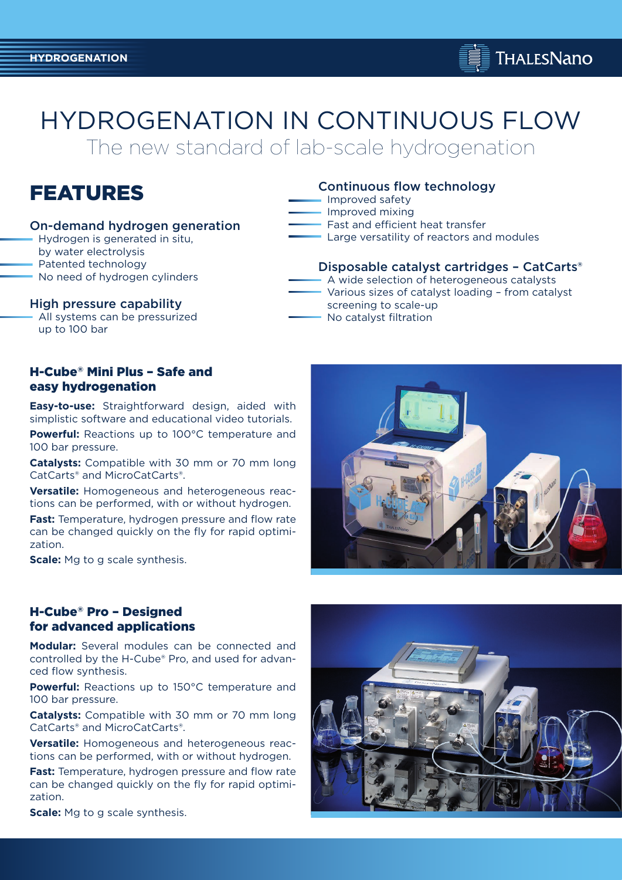

# HYDROGENATION IN CONTINUOUS FLOW

The new standard of lab-scale hydrogenation



### On-demand hydrogen generation

- Hydrogen is generated in situ,
- by water electrolysis
- Patented technology
- No need of hydrogen cylinders

#### High pressure capability

 All systems can be pressurized up to 100 bar

## H-Cube® Mini Plus – Safe and easy hydrogenation

**Easy-to-use:** Straightforward design, aided with simplistic software and educational video tutorials.

**Powerful:** Reactions up to 100°C temperature and 100 bar pressure.

**Catalysts:** Compatible with 30 mm or 70 mm long CatCarts® and MicroCatCarts®.

**Versatile:** Homogeneous and heterogeneous reactions can be performed, with or without hydrogen.

**Fast:** Temperature, hydrogen pressure and flow rate can be changed quickly on the fly for rapid optimization.

**Scale:** Mg to g scale synthesis.

## H-Cube® Pro – Designed for advanced applications

**Modular:** Several modules can be connected and controlled by the H-Cube® Pro, and used for advanced flow synthesis.

**Powerful:** Reactions up to 150°C temperature and 100 bar pressure.

**Catalysts:** Compatible with 30 mm or 70 mm long CatCarts® and MicroCatCarts®.

**Versatile:** Homogeneous and heterogeneous reactions can be performed, with or without hydrogen.

**Fast:** Temperature, hydrogen pressure and flow rate can be changed quickly on the fly for rapid optimization.

Continuous flow technology

- Improved safety
- Improved mixing
- **Fast and efficient heat transfer**
- Large versatility of reactors and modules

#### Disposable catalyst cartridges – CatCarts®

- A wide selection of heterogeneous catalysts Various sizes of catalyst loading – from catalyst
- screening to scale-up - No catalyst filtration
- 





**Scale:** Mg to g scale synthesis.